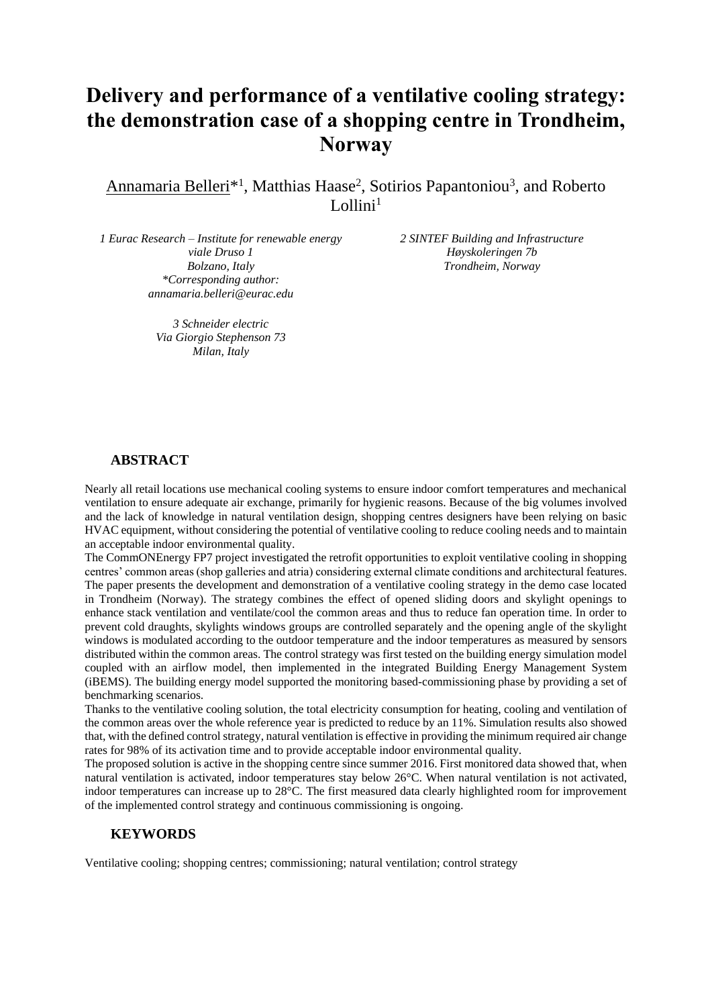# **Delivery and performance of a ventilative cooling strategy: the demonstration case of a shopping centre in Trondheim, Norway**

Annamaria Belleri<sup>\*1</sup>, Matthias Haase<sup>2</sup>, Sotirios Papantoniou<sup>3</sup>, and Roberto Lollini $<sup>1</sup>$ </sup>

*1 Eurac Research – Institute for renewable energy viale Druso 1 Bolzano, Italy \*Corresponding author: annamaria.belleri@eurac.edu*

> *3 Schneider electric Via Giorgio Stephenson 73 Milan, Italy*

*2 SINTEF Building and Infrastructure Høyskoleringen 7b Trondheim, Norway*

## **ABSTRACT**

Nearly all retail locations use mechanical cooling systems to ensure indoor comfort temperatures and mechanical ventilation to ensure adequate air exchange, primarily for hygienic reasons. Because of the big volumes involved and the lack of knowledge in natural ventilation design, shopping centres designers have been relying on basic HVAC equipment, without considering the potential of ventilative cooling to reduce cooling needs and to maintain an acceptable indoor environmental quality.

The CommONEnergy FP7 project investigated the retrofit opportunities to exploit ventilative cooling in shopping centres' common areas (shop galleries and atria) considering external climate conditions and architectural features. The paper presents the development and demonstration of a ventilative cooling strategy in the demo case located in Trondheim (Norway). The strategy combines the effect of opened sliding doors and skylight openings to enhance stack ventilation and ventilate/cool the common areas and thus to reduce fan operation time. In order to prevent cold draughts, skylights windows groups are controlled separately and the opening angle of the skylight windows is modulated according to the outdoor temperature and the indoor temperatures as measured by sensors distributed within the common areas. The control strategy was first tested on the building energy simulation model coupled with an airflow model, then implemented in the integrated Building Energy Management System (iBEMS). The building energy model supported the monitoring based-commissioning phase by providing a set of benchmarking scenarios.

Thanks to the ventilative cooling solution, the total electricity consumption for heating, cooling and ventilation of the common areas over the whole reference year is predicted to reduce by an 11%. Simulation results also showed that, with the defined control strategy, natural ventilation is effective in providing the minimum required air change rates for 98% of its activation time and to provide acceptable indoor environmental quality.

The proposed solution is active in the shopping centre since summer 2016. First monitored data showed that, when natural ventilation is activated, indoor temperatures stay below 26°C. When natural ventilation is not activated, indoor temperatures can increase up to 28°C. The first measured data clearly highlighted room for improvement of the implemented control strategy and continuous commissioning is ongoing.

#### **KEYWORDS**

Ventilative cooling; shopping centres; commissioning; natural ventilation; control strategy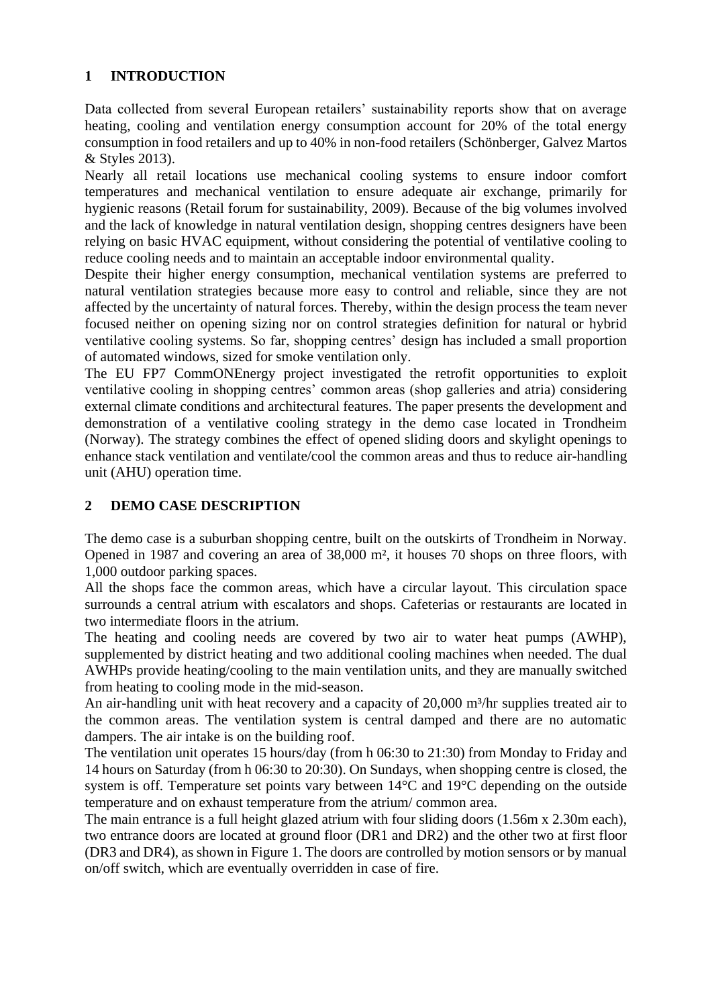## **1 INTRODUCTION**

Data collected from several European retailers' sustainability reports show that on average heating, cooling and ventilation energy consumption account for 20% of the total energy consumption in food retailers and up to 40% in non-food retailers (Schönberger, Galvez Martos & Styles 2013).

Nearly all retail locations use mechanical cooling systems to ensure indoor comfort temperatures and mechanical ventilation to ensure adequate air exchange, primarily for hygienic reasons (Retail forum for sustainability, 2009). Because of the big volumes involved and the lack of knowledge in natural ventilation design, shopping centres designers have been relying on basic HVAC equipment, without considering the potential of ventilative cooling to reduce cooling needs and to maintain an acceptable indoor environmental quality.

Despite their higher energy consumption, mechanical ventilation systems are preferred to natural ventilation strategies because more easy to control and reliable, since they are not affected by the uncertainty of natural forces. Thereby, within the design process the team never focused neither on opening sizing nor on control strategies definition for natural or hybrid ventilative cooling systems. So far, shopping centres' design has included a small proportion of automated windows, sized for smoke ventilation only.

The EU FP7 CommONEnergy project investigated the retrofit opportunities to exploit ventilative cooling in shopping centres' common areas (shop galleries and atria) considering external climate conditions and architectural features. The paper presents the development and demonstration of a ventilative cooling strategy in the demo case located in Trondheim (Norway). The strategy combines the effect of opened sliding doors and skylight openings to enhance stack ventilation and ventilate/cool the common areas and thus to reduce air-handling unit (AHU) operation time.

## **2 DEMO CASE DESCRIPTION**

The demo case is a suburban shopping centre, built on the outskirts of Trondheim in Norway. Opened in 1987 and covering an area of 38,000 m², it houses 70 shops on three floors, with 1,000 outdoor parking spaces.

All the shops face the common areas, which have a circular layout. This circulation space surrounds a central atrium with escalators and shops. Cafeterias or restaurants are located in two intermediate floors in the atrium.

The heating and cooling needs are covered by two air to water heat pumps (AWHP), supplemented by district heating and two additional cooling machines when needed. The dual AWHPs provide heating/cooling to the main ventilation units, and they are manually switched from heating to cooling mode in the mid-season.

An air-handling unit with heat recovery and a capacity of 20,000 m<sup>3</sup>/hr supplies treated air to the common areas. The ventilation system is central damped and there are no automatic dampers. The air intake is on the building roof.

The ventilation unit operates 15 hours/day (from h 06:30 to 21:30) from Monday to Friday and 14 hours on Saturday (from h 06:30 to 20:30). On Sundays, when shopping centre is closed, the system is off. Temperature set points vary between 14°C and 19°C depending on the outside temperature and on exhaust temperature from the atrium/ common area.

The main entrance is a full height glazed atrium with four sliding doors (1.56m x 2.30m each), two entrance doors are located at ground floor (DR1 and DR2) and the other two at first floor (DR3 and DR4), as shown in [Figure 1.](#page-2-0) The doors are controlled by motion sensors or by manual on/off switch, which are eventually overridden in case of fire.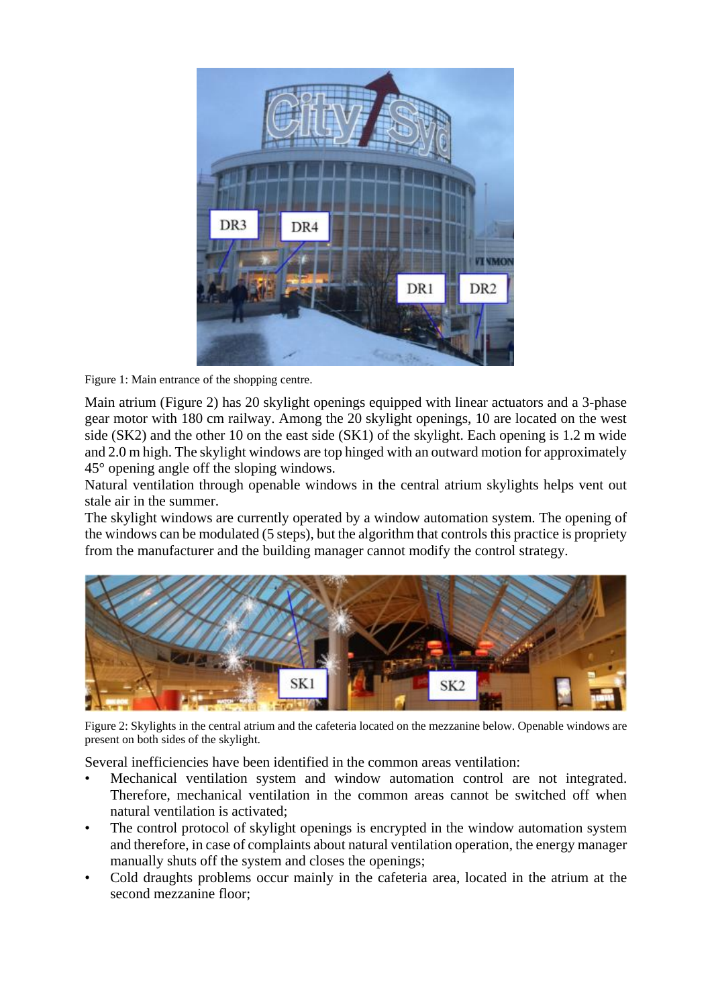

<span id="page-2-0"></span>Figure 1: Main entrance of the shopping centre.

Main atrium [\(Figure 2\)](#page-2-1) has 20 skylight openings equipped with linear actuators and a 3-phase gear motor with 180 cm railway. Among the 20 skylight openings, 10 are located on the west side (SK2) and the other 10 on the east side (SK1) of the skylight. Each opening is 1.2 m wide and 2.0 m high. The skylight windows are top hinged with an outward motion for approximately 45° opening angle off the sloping windows.

Natural ventilation through openable windows in the central atrium skylights helps vent out stale air in the summer.

The skylight windows are currently operated by a window automation system. The opening of the windows can be modulated (5 steps), but the algorithm that controls this practice is propriety from the manufacturer and the building manager cannot modify the control strategy.



<span id="page-2-1"></span>Figure 2: Skylights in the central atrium and the cafeteria located on the mezzanine below. Openable windows are present on both sides of the skylight.

Several inefficiencies have been identified in the common areas ventilation:

- Mechanical ventilation system and window automation control are not integrated. Therefore, mechanical ventilation in the common areas cannot be switched off when natural ventilation is activated;
- The control protocol of skylight openings is encrypted in the window automation system and therefore, in case of complaints about natural ventilation operation, the energy manager manually shuts off the system and closes the openings;
- Cold draughts problems occur mainly in the cafeteria area, located in the atrium at the second mezzanine floor;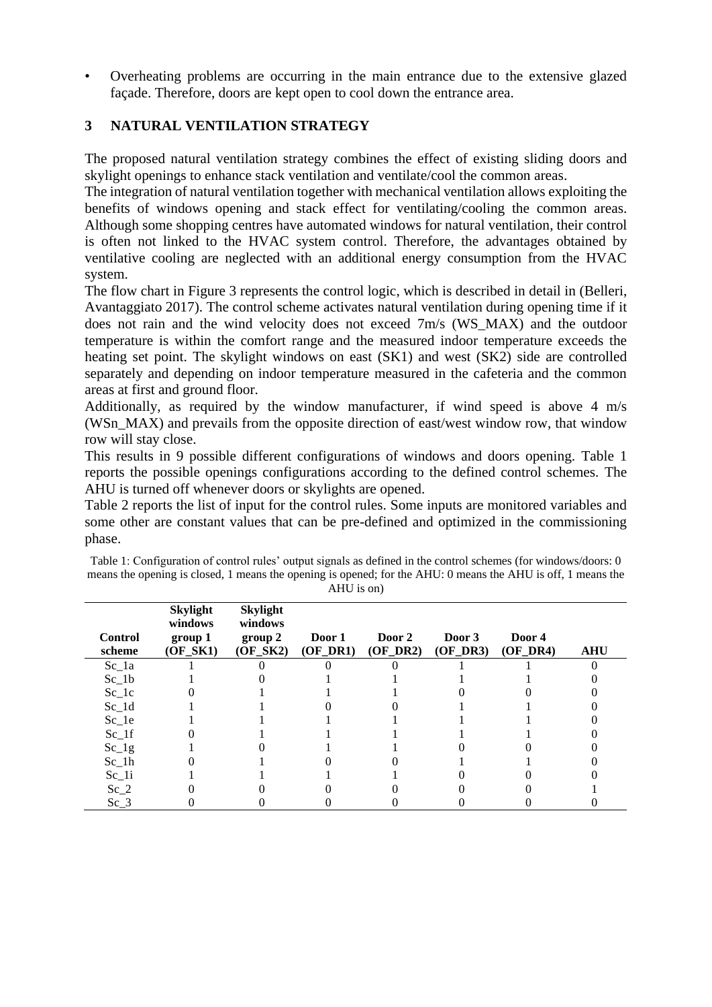• Overheating problems are occurring in the main entrance due to the extensive glazed façade. Therefore, doors are kept open to cool down the entrance area.

# **3 NATURAL VENTILATION STRATEGY**

The proposed natural ventilation strategy combines the effect of existing sliding doors and skylight openings to enhance stack ventilation and ventilate/cool the common areas.

The integration of natural ventilation together with mechanical ventilation allows exploiting the benefits of windows opening and stack effect for ventilating/cooling the common areas. Although some shopping centres have automated windows for natural ventilation, their control is often not linked to the HVAC system control. Therefore, the advantages obtained by ventilative cooling are neglected with an additional energy consumption from the HVAC system.

The flow chart in [Figure 3](#page-4-0) represents the control logic, which is described in detail in (Belleri, Avantaggiato 2017). The control scheme activates natural ventilation during opening time if it does not rain and the wind velocity does not exceed 7m/s (WS\_MAX) and the outdoor temperature is within the comfort range and the measured indoor temperature exceeds the heating set point. The skylight windows on east (SK1) and west (SK2) side are controlled separately and depending on indoor temperature measured in the cafeteria and the common areas at first and ground floor.

Additionally, as required by the window manufacturer, if wind speed is above 4 m/s (WSn\_MAX) and prevails from the opposite direction of east/west window row, that window row will stay close.

This results in 9 possible different configurations of windows and doors opening. [Table 1](#page-3-0) reports the possible openings configurations according to the defined control schemes. The AHU is turned off whenever doors or skylights are opened.

[Table 2](#page-4-1) reports the list of input for the control rules. Some inputs are monitored variables and some other are constant values that can be pre-defined and optimized in the commissioning phase.

| <b>Control</b><br>scheme | <b>Skylight</b><br>windows<br>group 1<br>(OF SK1) | <b>Skylight</b><br>windows<br>group 2<br>$(OF_SK2)$ | Door 1<br>$(OF\,DR1)$ | Door 2<br>$(OF_D R2)$ | Door 3<br>$(OF\;DR3)$ | Door 4<br>$(OF)$ DR4) | <b>AHU</b> |
|--------------------------|---------------------------------------------------|-----------------------------------------------------|-----------------------|-----------------------|-----------------------|-----------------------|------------|
| $Sc_1a$                  |                                                   |                                                     |                       |                       |                       |                       |            |
| $Sc_1b$                  |                                                   |                                                     |                       |                       |                       |                       |            |
| $Sc_1c$                  |                                                   |                                                     |                       |                       |                       |                       |            |
| $Sc_1d$                  |                                                   |                                                     |                       |                       |                       |                       |            |
| $Sc_1e$                  |                                                   |                                                     |                       |                       |                       |                       |            |
| $Sc_{1f}$                |                                                   |                                                     |                       |                       |                       |                       |            |
| $Sc_{1g}$                |                                                   |                                                     |                       |                       |                       |                       |            |
| $Sc_1h$                  |                                                   |                                                     |                       |                       |                       |                       |            |
| $Sc_{1i}$                |                                                   |                                                     |                       |                       |                       |                       |            |
| $Sc_2$                   |                                                   |                                                     |                       |                       |                       |                       |            |
| $Sc_3$                   |                                                   |                                                     |                       |                       |                       |                       |            |

<span id="page-3-0"></span>

| Table 1: Configuration of control rules' output signals as defined in the control schemes (for windows/doors: 0 |
|-----------------------------------------------------------------------------------------------------------------|
| means the opening is closed, 1 means the opening is opened; for the AHU: 0 means the AHU is off, 1 means the    |
| AHU is on                                                                                                       |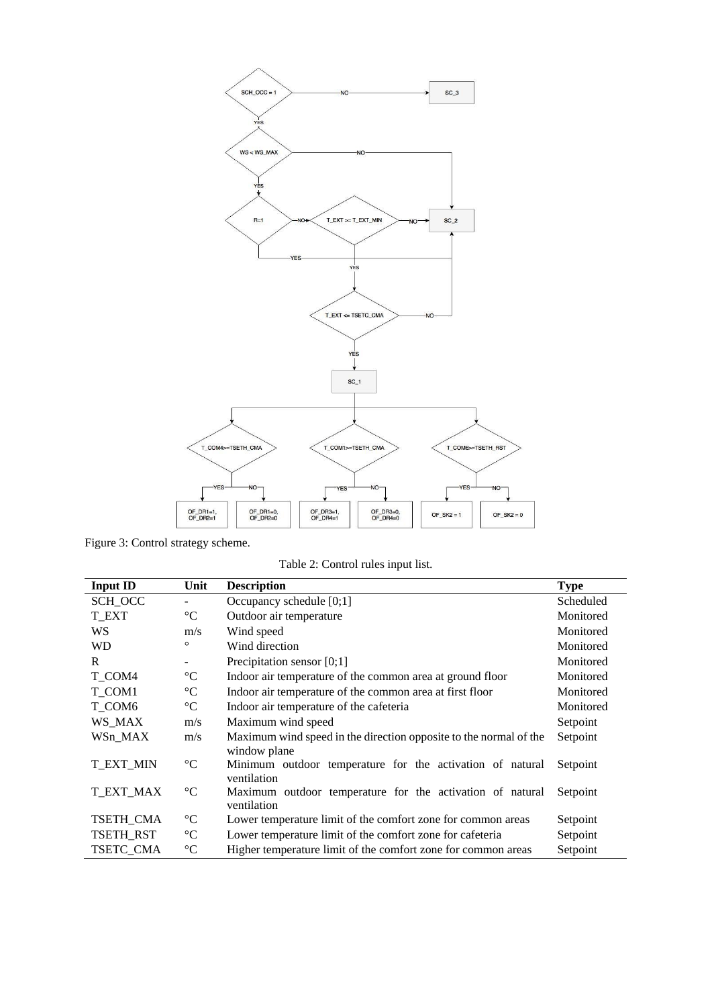

<span id="page-4-1"></span><span id="page-4-0"></span>Figure 3: Control strategy scheme.

Table 2: Control rules input list.

| <b>Input ID</b>  | Unit            | <b>Description</b>                                                                | <b>Type</b> |  |
|------------------|-----------------|-----------------------------------------------------------------------------------|-------------|--|
| SCH_OCC          |                 | Occupancy schedule [0;1]                                                          | Scheduled   |  |
| <b>T_EXT</b>     | $\rm ^{\circ}C$ | Outdoor air temperature                                                           | Monitored   |  |
| WS               | m/s             | Wind speed                                                                        | Monitored   |  |
| WD               | O               | Wind direction                                                                    | Monitored   |  |
| R                | -               | Precipitation sensor $[0;1]$                                                      | Monitored   |  |
| T_COM4           | $\rm ^{\circ}C$ | Indoor air temperature of the common area at ground floor                         | Monitored   |  |
| T COM1           | $\rm ^{\circ}C$ | Indoor air temperature of the common area at first floor                          | Monitored   |  |
| T_COM6           | $\rm ^{\circ}C$ | Indoor air temperature of the cafeteria                                           | Monitored   |  |
| WS MAX           | m/s             | Maximum wind speed                                                                | Setpoint    |  |
| WSn_MAX          | m/s             | Maximum wind speed in the direction opposite to the normal of the<br>window plane | Setpoint    |  |
| <b>T EXT MIN</b> | $\rm ^{\circ}C$ | Minimum outdoor temperature for the activation of natural<br>ventilation          | Setpoint    |  |
| <b>T_EXT_MAX</b> | $\rm ^{\circ}C$ | Maximum outdoor temperature for the activation of natural<br>ventilation          | Setpoint    |  |
| TSETH CMA        | $\rm ^{\circ}C$ | Lower temperature limit of the comfort zone for common areas                      | Setpoint    |  |
| TSETH_RST        | $\rm ^{\circ}C$ | Lower temperature limit of the comfort zone for cafeteria<br>Setpoint             |             |  |
| TSETC CMA        | $\rm ^{\circ}C$ | Higher temperature limit of the comfort zone for common areas<br>Setpoint         |             |  |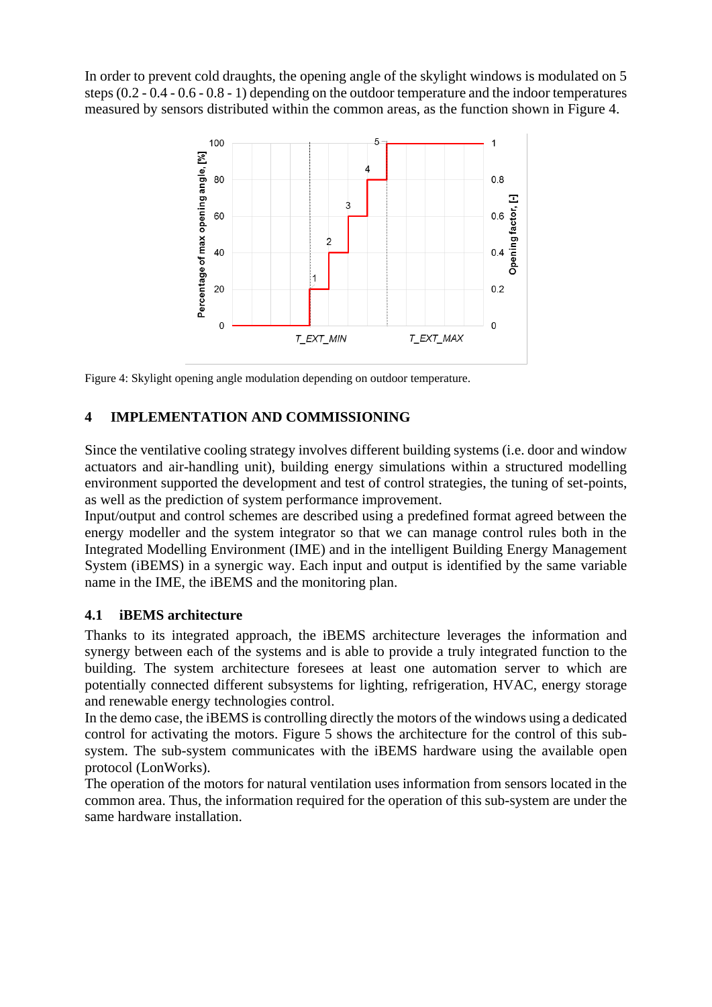In order to prevent cold draughts, the opening angle of the skylight windows is modulated on 5 steps (0.2 - 0.4 - 0.6 - 0.8 - 1) depending on the outdoor temperature and the indoor temperatures measured by sensors distributed within the common areas, as the function shown in [Figure 4.](#page-5-0)



<span id="page-5-0"></span>Figure 4: Skylight opening angle modulation depending on outdoor temperature.

## **4 IMPLEMENTATION AND COMMISSIONING**

Since the ventilative cooling strategy involves different building systems (i.e. door and window actuators and air-handling unit), building energy simulations within a structured modelling environment supported the development and test of control strategies, the tuning of set-points, as well as the prediction of system performance improvement.

Input/output and control schemes are described using a predefined format agreed between the energy modeller and the system integrator so that we can manage control rules both in the Integrated Modelling Environment (IME) and in the intelligent Building Energy Management System (iBEMS) in a synergic way. Each input and output is identified by the same variable name in the IME, the iBEMS and the monitoring plan.

#### **4.1 iBEMS architecture**

Thanks to its integrated approach, the iBEMS architecture leverages the information and synergy between each of the systems and is able to provide a truly integrated function to the building. The system architecture foresees at least one automation server to which are potentially connected different subsystems for lighting, refrigeration, HVAC, energy storage and renewable energy technologies control.

In the demo case, the iBEMS is controlling directly the motors of the windows using a dedicated control for activating the motors. [Figure 5](#page-6-0) shows the architecture for the control of this subsystem. The sub-system communicates with the iBEMS hardware using the available open protocol (LonWorks).

The operation of the motors for natural ventilation uses information from sensors located in the common area. Thus, the information required for the operation of this sub-system are under the same hardware installation.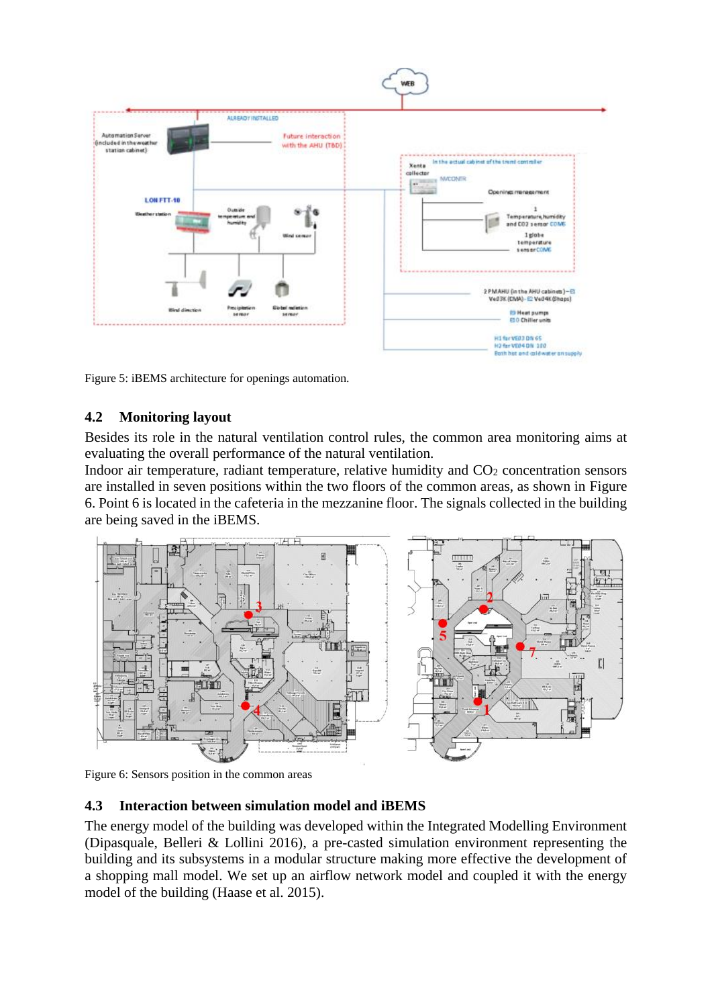

<span id="page-6-0"></span>Figure 5: iBEMS architecture for openings automation.

## **4.2 Monitoring layout**

Besides its role in the natural ventilation control rules, the common area monitoring aims at evaluating the overall performance of the natural ventilation.

Indoor air temperature, radiant temperature, relative humidity and CO<sub>2</sub> concentration sensors are installed in seven positions within the two floors of the common areas, as shown in [Figure](#page-6-1)  [6.](#page-6-1) Point 6 is located in the cafeteria in the mezzanine floor. The signals collected in the building are being saved in the iBEMS.



<span id="page-6-1"></span>Figure 6: Sensors position in the common areas

#### **4.3 Interaction between simulation model and iBEMS**

The energy model of the building was developed within the Integrated Modelling Environment (Dipasquale, Belleri & Lollini 2016), a pre-casted simulation environment representing the building and its subsystems in a modular structure making more effective the development of a shopping mall model. We set up an airflow network model and coupled it with the energy model of the building (Haase et al. 2015).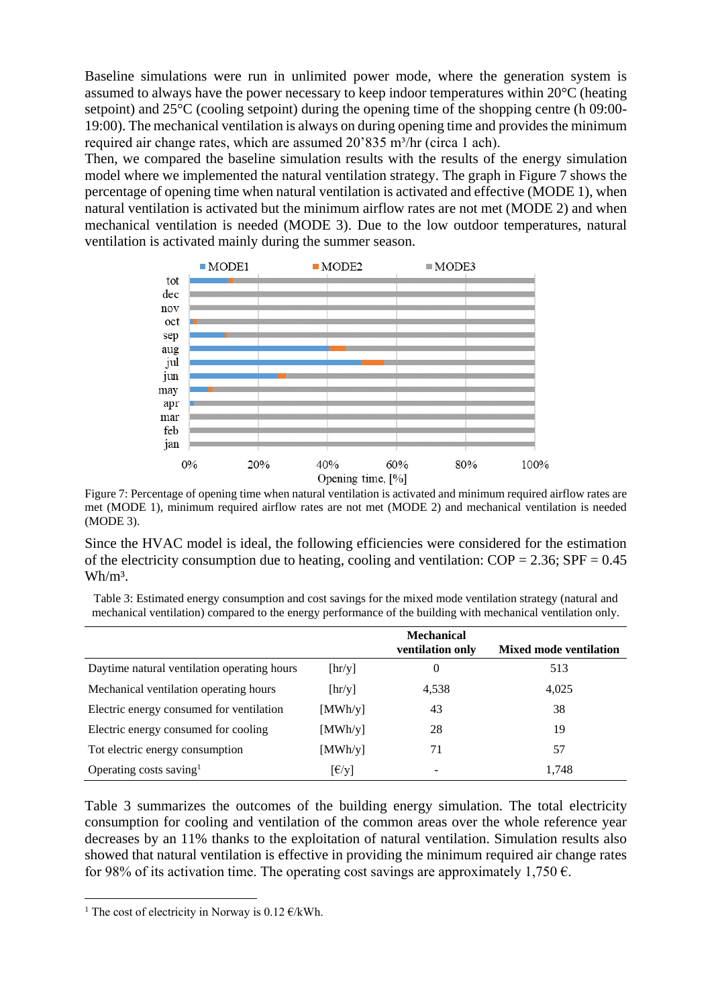Baseline simulations were run in unlimited power mode, where the generation system is assumed to always have the power necessary to keep indoor temperatures within 20°C (heating setpoint) and 25°C (cooling setpoint) during the opening time of the shopping centre (h 09:00- 19:00). The mechanical ventilation is always on during opening time and provides the minimum required air change rates, which are assumed 20'835 m<sup>3</sup>/hr (circa 1 ach).

Then, we compared the baseline simulation results with the results of the energy simulation model where we implemented the natural ventilation strategy. The graph in [Figure 7](#page-7-0) shows the percentage of opening time when natural ventilation is activated and effective (MODE 1), when natural ventilation is activated but the minimum airflow rates are not met (MODE 2) and when mechanical ventilation is needed (MODE 3). Due to the low outdoor temperatures, natural ventilation is activated mainly during the summer season.



<span id="page-7-0"></span>Figure 7: Percentage of opening time when natural ventilation is activated and minimum required airflow rates are met (MODE 1), minimum required airflow rates are not met (MODE 2) and mechanical ventilation is needed (MODE 3).

Since the HVAC model is ideal, the following efficiencies were considered for the estimation of the electricity consumption due to heating, cooling and ventilation:  $COP = 2.36$ ;  $SPF = 0.45$  $Wh/m<sup>3</sup>$ .

<span id="page-7-1"></span>Table 3: Estimated energy consumption and cost savings for the mixed mode ventilation strategy (natural and mechanical ventilation) compared to the energy performance of the building with mechanical ventilation only.

|                                             |                                    | <b>Mechanical</b><br>ventilation only | <b>Mixed mode ventilation</b> |
|---------------------------------------------|------------------------------------|---------------------------------------|-------------------------------|
| Daytime natural ventilation operating hours | $[\text{hr/y}]$                    | $\theta$                              | 513                           |
| Mechanical ventilation operating hours      | [hr/y]                             | 4,538                                 | 4,025                         |
| Electric energy consumed for ventilation    | [MWh/y]                            | 43                                    | 38                            |
| Electric energy consumed for cooling        | [MWh/y]                            | 28                                    | 19                            |
| Tot electric energy consumption             | [MWh/y]                            | 71                                    | 57                            |
| Operating costs saving <sup>1</sup>         | $\lceil \frac{\epsilon}{y} \rceil$ | -                                     | 1,748                         |

[Table 3](#page-7-1) summarizes the outcomes of the building energy simulation. The total electricity consumption for cooling and ventilation of the common areas over the whole reference year decreases by an 11% thanks to the exploitation of natural ventilation. Simulation results also showed that natural ventilation is effective in providing the minimum required air change rates for 98% of its activation time. The operating cost savings are approximately 1,750  $\epsilon$ .

1

<sup>&</sup>lt;sup>1</sup> The cost of electricity in Norway is 0.12  $\epsilon$ /kWh.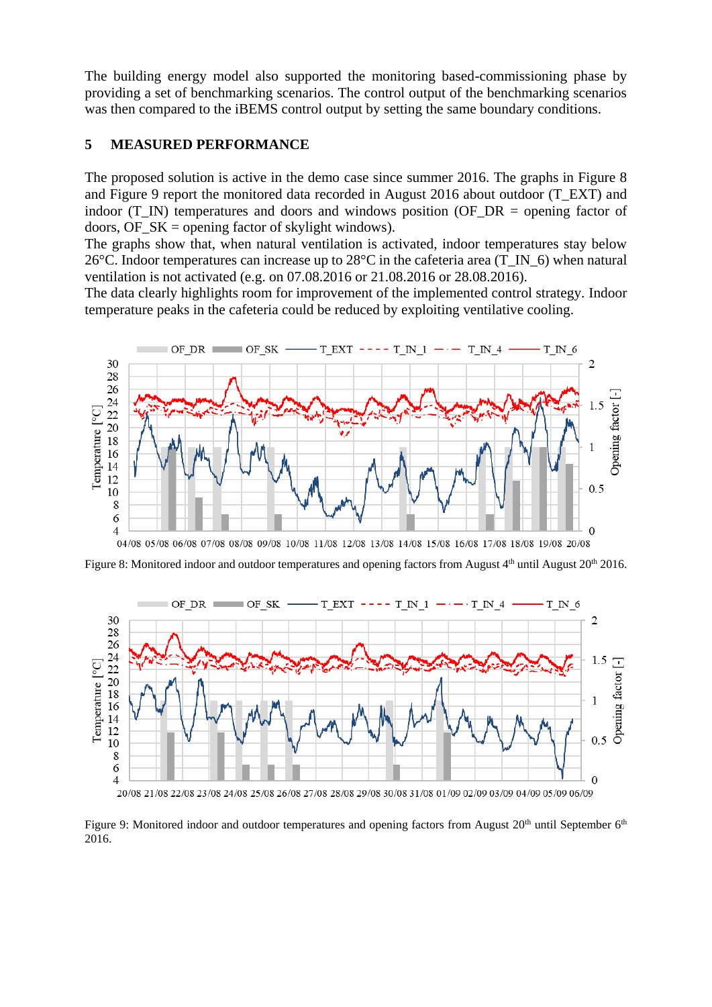The building energy model also supported the monitoring based-commissioning phase by providing a set of benchmarking scenarios. The control output of the benchmarking scenarios was then compared to the iBEMS control output by setting the same boundary conditions.

#### **5 MEASURED PERFORMANCE**

The proposed solution is active in the demo case since summer 2016. The graphs in [Figure 8](#page-8-0) and [Figure 9](#page-8-1) report the monitored data recorded in August 2016 about outdoor (T\_EXT) and indoor (T\_IN) temperatures and doors and windows position (OF\_DR = opening factor of doors, OF  $SK =$  opening factor of skylight windows).

The graphs show that, when natural ventilation is activated, indoor temperatures stay below 26°C. Indoor temperatures can increase up to 28°C in the cafeteria area (T\_IN\_6) when natural ventilation is not activated (e.g. on 07.08.2016 or 21.08.2016 or 28.08.2016).

The data clearly highlights room for improvement of the implemented control strategy. Indoor temperature peaks in the cafeteria could be reduced by exploiting ventilative cooling.



04/08 05/08 06/08 07/08 08/08 09/08 10/08 11/08 12/08 13/08 14/08 15/08 16/08 17/08 18/08 19/08 20/08

<span id="page-8-0"></span>Figure 8: Monitored indoor and outdoor temperatures and opening factors from August 4<sup>th</sup> until August 20<sup>th</sup> 2016.



<span id="page-8-1"></span>Figure 9: Monitored indoor and outdoor temperatures and opening factors from August 20<sup>th</sup> until September 6<sup>th</sup> 2016.